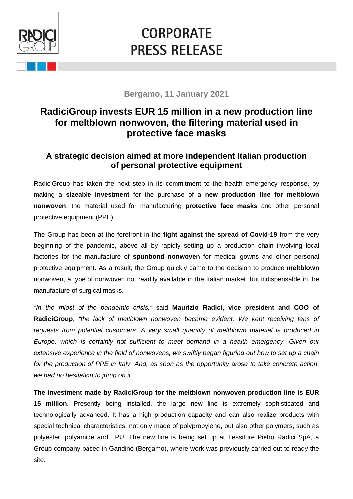# **CORPORATE PRESS RELEASE**

### **Bergamo, 11 January 2021**

# **RadiciGroup invests EUR 15 million in a new production line for meltblown nonwoven, the filtering material used in protective face masks**

## **A strategic decision aimed at more independent Italian production of personal protective equipment**

RadiciGroup has taken the next step in its commitment to the health emergency response, by making a **sizeable investment** for the purchase of a **new production line for meltblown nonwoven**, the material used for manufacturing **protective face masks** and other personal protective equipment (PPE).

The Group has been at the forefront in the **fight against the spread of Covid-19** from the very beginning of the pandemic, above all by rapidly setting up a production chain involving local factories for the manufacture of **spunbond nonwoven** for medical gowns and other personal protective equipment. As a result, the Group quickly came to the decision to produce **meltblown** nonwoven, a type of nonwoven not readily available in the Italian market, but indispensable in the manufacture of surgical masks.

*"In the midst of the pandemic crisis,"* said **Maurizio Radici, vice president and COO of RadiciGroup**, *"the lack of meltblown nonwoven became evident. We kept receiving tens of requests from potential customers. A very small quantity of meltblown material is produced in Europe, which is certainly not sufficient to meet demand in a health emergency. Given our extensive experience in the field of nonwovens, we swiftly began figuring out how to set up a chain for the production of PPE in Italy. And, as soon as the opportunity arose to take concrete action, we had no hesitation to jump on it".*

**The investment made by RadiciGroup for the meltblown nonwoven production line is EUR 15 million**. Presently being installed, the large new line is extremely sophisticated and technologically advanced. It has a high production capacity and can also realize products with special technical characteristics, not only made of polypropylene, but also other polymers, such as polyester, polyamide and TPU. The new line is being set up at Tessiture Pietro Radici SpA, a Group company based in Gandino (Bergamo), where work was previously carried out to ready the site.